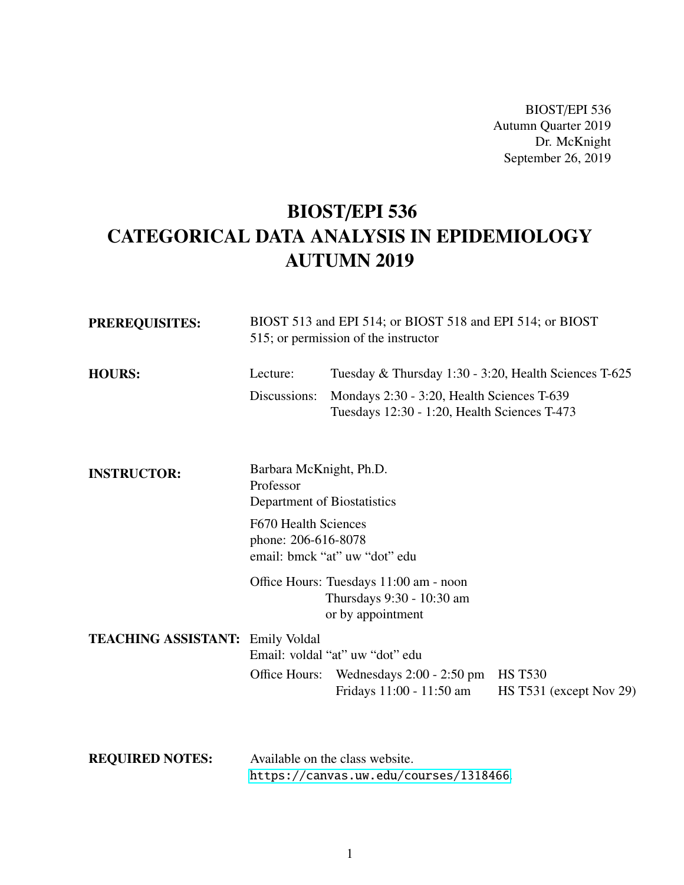BIOST/EPI 536 Autumn Quarter 2019 Dr. McKnight September 26, 2019

# BIOST/EPI 536 CATEGORICAL DATA ANALYSIS IN EPIDEMIOLOGY AUTUMN 2019

| <b>PREREQUISITES:</b>  | BIOST 513 and EPI 514; or BIOST 518 and EPI 514; or BIOST<br>515; or permission of the instructor |                                                                                            |                                           |
|------------------------|---------------------------------------------------------------------------------------------------|--------------------------------------------------------------------------------------------|-------------------------------------------|
| <b>HOURS:</b>          | Lecture:                                                                                          | Tuesday & Thursday 1:30 - 3:20, Health Sciences T-625                                      |                                           |
|                        | Discussions:                                                                                      | Mondays 2:30 - 3:20, Health Sciences T-639<br>Tuesdays 12:30 - 1:20, Health Sciences T-473 |                                           |
| <b>INSTRUCTOR:</b>     | Barbara McKnight, Ph.D.<br>Professor<br>Department of Biostatistics                               |                                                                                            |                                           |
|                        | F670 Health Sciences<br>phone: 206-616-8078<br>email: bmck "at" uw "dot" edu                      |                                                                                            |                                           |
|                        |                                                                                                   | Office Hours: Tuesdays 11:00 am - noon<br>Thursdays 9:30 - 10:30 am<br>or by appointment   |                                           |
|                        | <b>TEACHING ASSISTANT: Emily Voldal</b><br>Email: voldal "at" uw "dot" edu                        |                                                                                            |                                           |
|                        |                                                                                                   | Office Hours: Wednesdays 2:00 - 2:50 pm<br>Fridays 11:00 - 11:50 am                        | <b>HS T530</b><br>HS T531 (except Nov 29) |
| <b>REQUIRED NOTES:</b> | Available on the class website.<br>https://canvas.uw.edu/courses/1318466.                         |                                                                                            |                                           |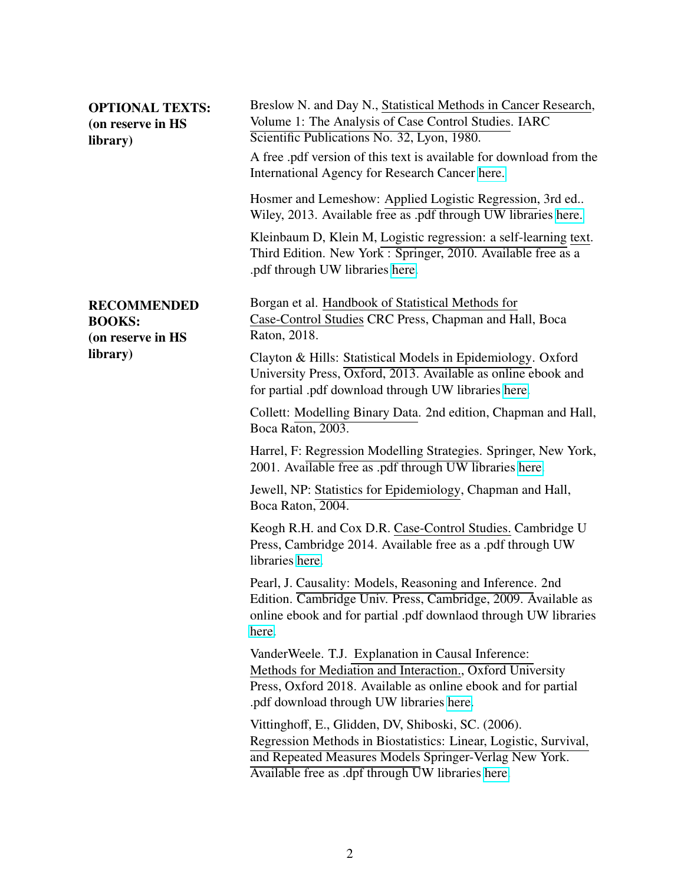| <b>OPTIONAL TEXTS:</b><br>(on reserve in HS<br>library)  | Breslow N. and Day N., Statistical Methods in Cancer Research,<br>Volume 1: The Analysis of Case Control Studies. IARC<br>Scientific Publications No. 32, Lyon, 1980.<br>A free .pdf version of this text is available for download from the<br>International Agency for Research Cancer here. |  |
|----------------------------------------------------------|------------------------------------------------------------------------------------------------------------------------------------------------------------------------------------------------------------------------------------------------------------------------------------------------|--|
|                                                          | Hosmer and Lemeshow: Applied Logistic Regression, 3rd ed<br>Wiley, 2013. Available free as .pdf through UW libraries here.                                                                                                                                                                     |  |
|                                                          | Kleinbaum D, Klein M, Logistic regression: a self-learning text.<br>Third Edition. New York: Springer, 2010. Available free as a<br>.pdf through UW libraries here.                                                                                                                            |  |
| <b>RECOMMENDED</b><br><b>BOOKS:</b><br>(on reserve in HS | Borgan et al. Handbook of Statistical Methods for<br>Case-Control Studies CRC Press, Chapman and Hall, Boca<br>Raton, 2018.                                                                                                                                                                    |  |
| library)                                                 | Clayton & Hills: Statistical Models in Epidemiology. Oxford<br>University Press, Oxford, 2013. Available as online ebook and<br>for partial .pdf download through UW libraries here.                                                                                                           |  |
|                                                          | Collett: Modelling Binary Data. 2nd edition, Chapman and Hall,<br>Boca Raton, 2003.                                                                                                                                                                                                            |  |
|                                                          | Harrel, F: Regression Modelling Strategies. Springer, New York,<br>2001. Available free as .pdf through UW libraries here.                                                                                                                                                                     |  |
|                                                          | Jewell, NP: Statistics for Epidemiology, Chapman and Hall,<br>Boca Raton, 2004.                                                                                                                                                                                                                |  |
|                                                          | Keogh R.H. and Cox D.R. Case-Control Studies. Cambridge U<br>Press, Cambridge 2014. Available free as a .pdf through UW<br>libraries here.                                                                                                                                                     |  |
|                                                          | Pearl, J. Causality: Models, Reasoning and Inference. 2nd<br>Edition. Cambridge Univ. Press, Cambridge, 2009. Available as<br>online ebook and for partial .pdf downlaod through UW libraries<br>here.                                                                                         |  |
|                                                          | VanderWeele. T.J. Explanation in Causal Inference:<br>Methods for Mediation and Interaction., Oxford University<br>Press, Oxford 2018. Available as online ebook and for partial<br>.pdf download through UW libraries here.                                                                   |  |
|                                                          | Vittinghoff, E., Glidden, DV, Shiboski, SC. (2006).<br>Regression Methods in Biostatistics: Linear, Logistic, Survival,<br>and Repeated Measures Models Springer-Verlag New York.<br>Available free as .dpf through UW libraries here.                                                         |  |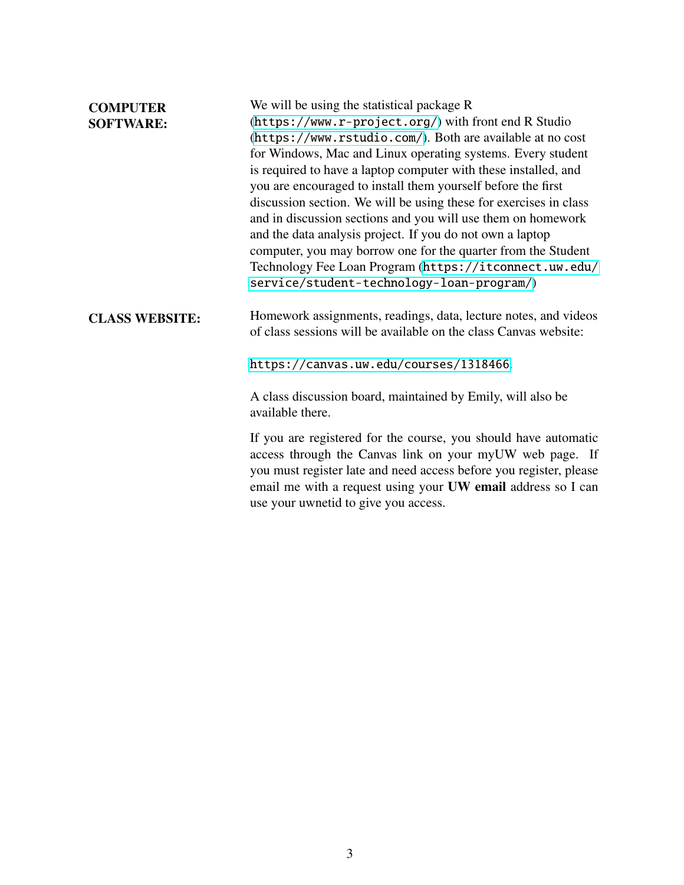| <b>COMPUTER</b><br><b>SOFTWARE:</b> | We will be using the statistical package R<br>(https://www.r-project.org/) with front end R Studio<br>(https://www.rstudio.com/). Both are available at no cost<br>for Windows, Mac and Linux operating systems. Every student<br>is required to have a laptop computer with these installed, and<br>you are encouraged to install them yourself before the first<br>discussion section. We will be using these for exercises in class<br>and in discussion sections and you will use them on homework<br>and the data analysis project. If you do not own a laptop<br>computer, you may borrow one for the quarter from the Student<br>Technology Fee Loan Program (https://itconnect.uw.edu/<br>service/student-technology-loan-program/) |
|-------------------------------------|---------------------------------------------------------------------------------------------------------------------------------------------------------------------------------------------------------------------------------------------------------------------------------------------------------------------------------------------------------------------------------------------------------------------------------------------------------------------------------------------------------------------------------------------------------------------------------------------------------------------------------------------------------------------------------------------------------------------------------------------|
| <b>CLASS WEBSITE:</b>               | Homework assignments, readings, data, lecture notes, and videos<br>of class sessions will be available on the class Canvas website:<br>https://canvas.uw.edu/courses/1318466.                                                                                                                                                                                                                                                                                                                                                                                                                                                                                                                                                               |
|                                     | A class discussion board, maintained by Emily, will also be<br>available there.                                                                                                                                                                                                                                                                                                                                                                                                                                                                                                                                                                                                                                                             |
|                                     | If you are registered for the course, you should have automatic<br>access through the Canvas link on your myUW web page. If<br>you must register late and need access before you register, please<br>email me with a request using your UW email address so I can<br>use your uwnetid to give you access.                                                                                                                                                                                                                                                                                                                                                                                                                                   |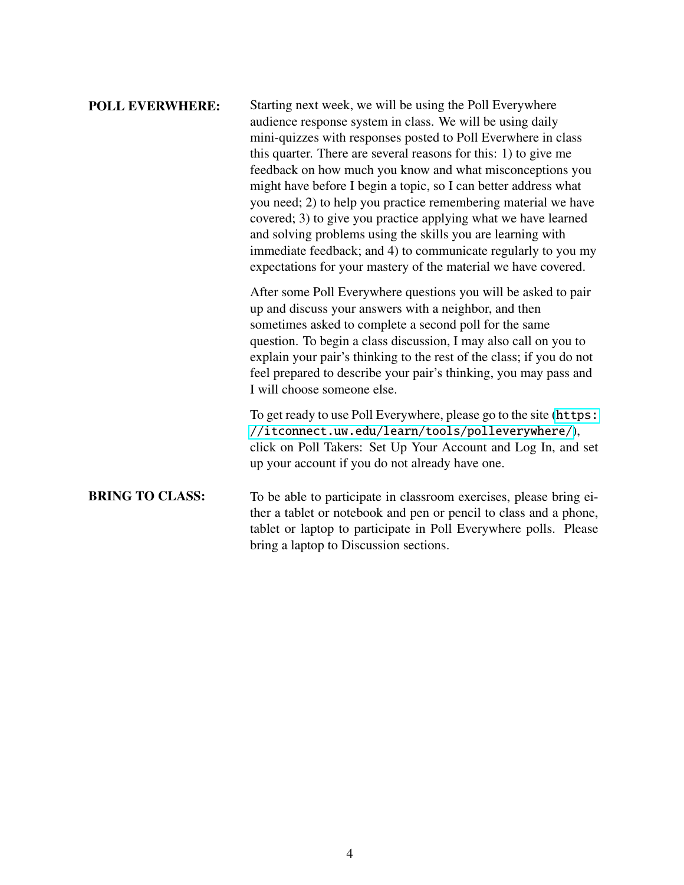| <b>POLL EVERWHERE:</b> | Starting next week, we will be using the Poll Everywhere<br>audience response system in class. We will be using daily<br>mini-quizzes with responses posted to Poll Everwhere in class<br>this quarter. There are several reasons for this: 1) to give me<br>feedback on how much you know and what misconceptions you<br>might have before I begin a topic, so I can better address what<br>you need; 2) to help you practice remembering material we have<br>covered; 3) to give you practice applying what we have learned<br>and solving problems using the skills you are learning with<br>immediate feedback; and 4) to communicate regularly to you my<br>expectations for your mastery of the material we have covered. |
|------------------------|---------------------------------------------------------------------------------------------------------------------------------------------------------------------------------------------------------------------------------------------------------------------------------------------------------------------------------------------------------------------------------------------------------------------------------------------------------------------------------------------------------------------------------------------------------------------------------------------------------------------------------------------------------------------------------------------------------------------------------|
|                        | After some Poll Everywhere questions you will be asked to pair<br>up and discuss your answers with a neighbor, and then<br>sometimes asked to complete a second poll for the same<br>question. To begin a class discussion, I may also call on you to<br>explain your pair's thinking to the rest of the class; if you do not<br>feel prepared to describe your pair's thinking, you may pass and<br>I will choose someone else.                                                                                                                                                                                                                                                                                                |
|                        | To get ready to use Poll Everywhere, please go to the site (https:<br>//itconnect.uw.edu/learn/tools/polleverywhere/),<br>click on Poll Takers: Set Up Your Account and Log In, and set<br>up your account if you do not already have one.                                                                                                                                                                                                                                                                                                                                                                                                                                                                                      |
| <b>BRING TO CLASS:</b> | To be able to participate in classroom exercises, please bring ei-<br>ther a tablet or notebook and pen or pencil to class and a phone,<br>tablet or laptop to participate in Poll Everywhere polls. Please                                                                                                                                                                                                                                                                                                                                                                                                                                                                                                                     |

bring a laptop to Discussion sections.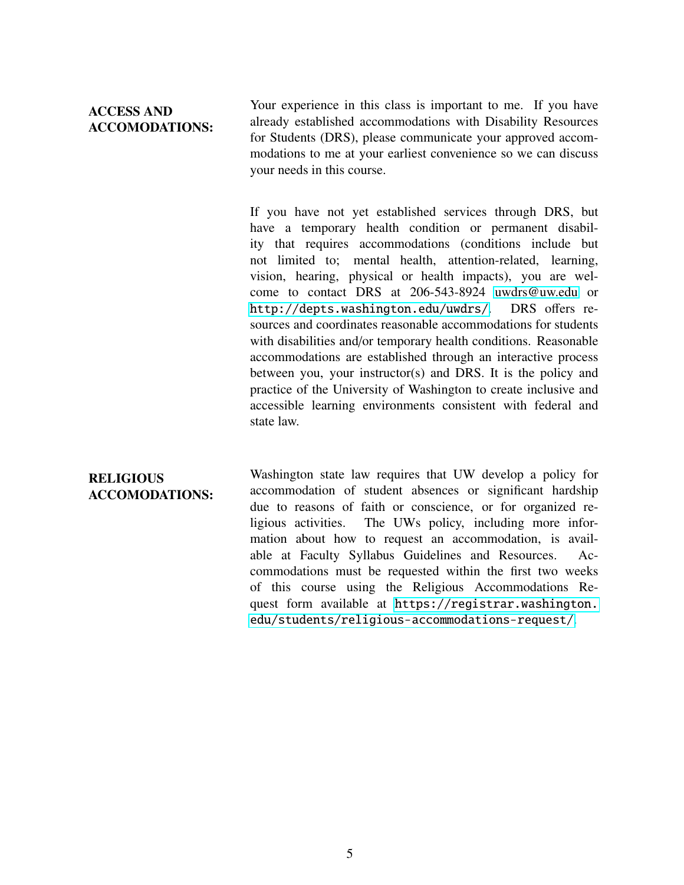# ACCESS AND ACCOMODATIONS:

Your experience in this class is important to me. If you have already established accommodations with Disability Resources for Students (DRS), please communicate your approved accommodations to me at your earliest convenience so we can discuss your needs in this course.

If you have not yet established services through DRS, but have a temporary health condition or permanent disability that requires accommodations (conditions include but not limited to; mental health, attention-related, learning, vision, hearing, physical or health impacts), you are welcome to contact DRS at 206-543-8924 [uwdrs@uw.edu](mailto:uwdrs@uw.edu) or <http://depts.washington.edu/uwdrs/>. DRS offers resources and coordinates reasonable accommodations for students with disabilities and/or temporary health conditions. Reasonable accommodations are established through an interactive process between you, your instructor(s) and DRS. It is the policy and practice of the University of Washington to create inclusive and accessible learning environments consistent with federal and state law.

# **RELIGIOUS** ACCOMODATIONS:

Washington state law requires that UW develop a policy for accommodation of student absences or significant hardship due to reasons of faith or conscience, or for organized religious activities. The UWs policy, including more information about how to request an accommodation, is available at Faculty Syllabus Guidelines and Resources. Accommodations must be requested within the first two weeks of this course using the Religious Accommodations Request form available at [https://registrar.washington.](https://registrar.washington.edu/students/religious-accommodations-request/) [edu/students/religious-accommodations-request/](https://registrar.washington.edu/students/religious-accommodations-request/).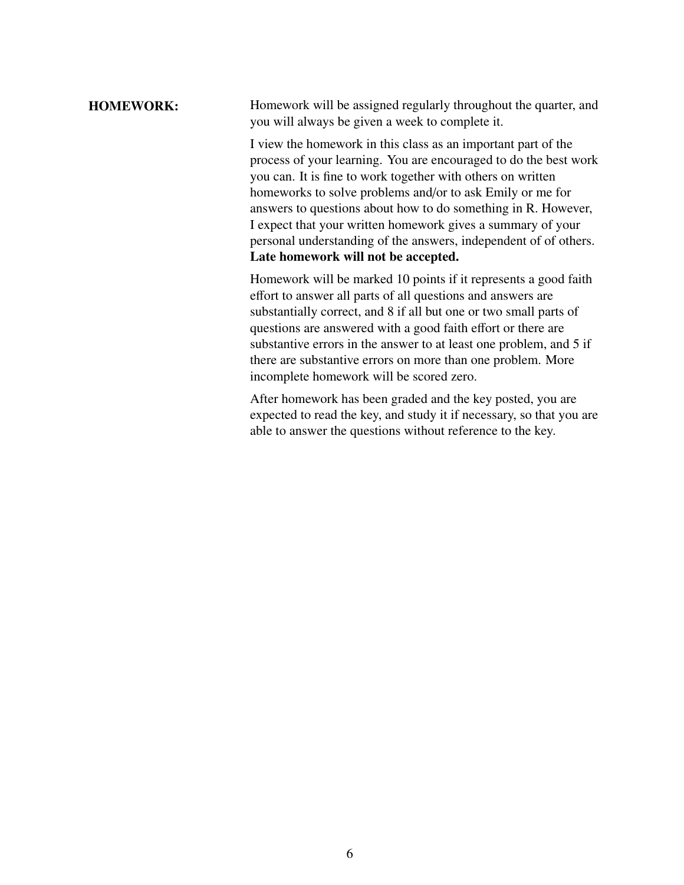# HOMEWORK: Homework will be assigned regularly throughout the quarter, and you will always be given a week to complete it.

I view the homework in this class as an important part of the process of your learning. You are encouraged to do the best work you can. It is fine to work together with others on written homeworks to solve problems and/or to ask Emily or me for answers to questions about how to do something in R. However, I expect that your written homework gives a summary of your personal understanding of the answers, independent of of others. Late homework will not be accepted.

Homework will be marked 10 points if it represents a good faith effort to answer all parts of all questions and answers are substantially correct, and 8 if all but one or two small parts of questions are answered with a good faith effort or there are substantive errors in the answer to at least one problem, and 5 if there are substantive errors on more than one problem. More incomplete homework will be scored zero.

After homework has been graded and the key posted, you are expected to read the key, and study it if necessary, so that you are able to answer the questions without reference to the key.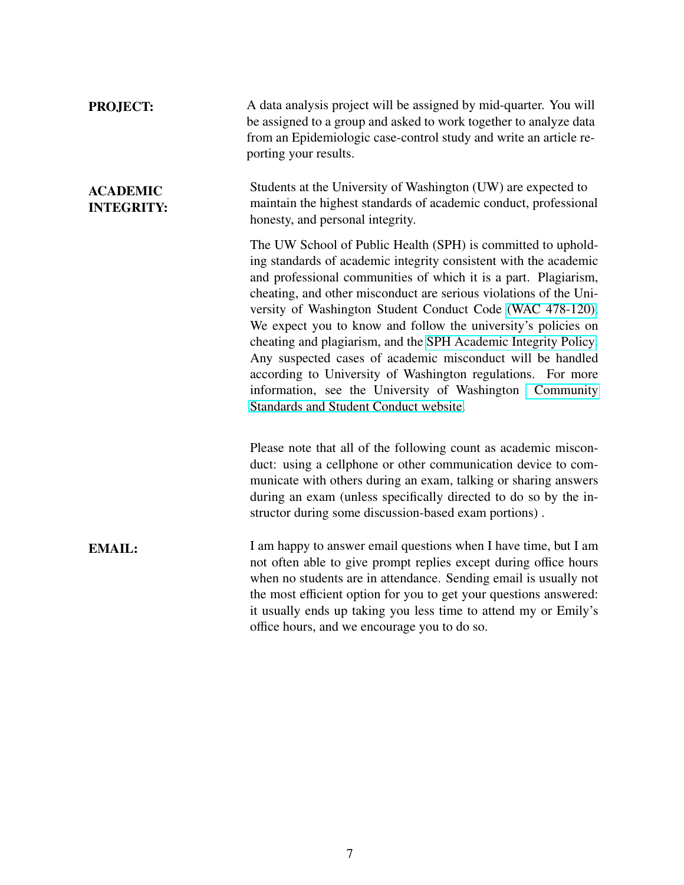| <b>PROJECT:</b>                      | A data analysis project will be assigned by mid-quarter. You will<br>be assigned to a group and asked to work together to analyze data<br>from an Epidemiologic case-control study and write an article re-<br>porting your results.                                                                                                                                                                                                                                                                                                                                                                                                                                                                        |
|--------------------------------------|-------------------------------------------------------------------------------------------------------------------------------------------------------------------------------------------------------------------------------------------------------------------------------------------------------------------------------------------------------------------------------------------------------------------------------------------------------------------------------------------------------------------------------------------------------------------------------------------------------------------------------------------------------------------------------------------------------------|
| <b>ACADEMIC</b><br><b>INTEGRITY:</b> | Students at the University of Washington (UW) are expected to<br>maintain the highest standards of academic conduct, professional<br>honesty, and personal integrity.                                                                                                                                                                                                                                                                                                                                                                                                                                                                                                                                       |
|                                      | The UW School of Public Health (SPH) is committed to uphold-<br>ing standards of academic integrity consistent with the academic<br>and professional communities of which it is a part. Plagiarism,<br>cheating, and other misconduct are serious violations of the Uni-<br>versity of Washington Student Conduct Code (WAC 478-120).<br>We expect you to know and follow the university's policies on<br>cheating and plagiarism, and the SPH Academic Integrity Policy.<br>Any suspected cases of academic misconduct will be handled<br>according to University of Washington regulations. For more<br>information, see the University of Washington Community<br>Standards and Student Conduct website. |
|                                      | Please note that all of the following count as academic miscon-<br>duct: using a cellphone or other communication device to com-<br>municate with others during an exam, talking or sharing answers<br>during an exam (unless specifically directed to do so by the in-<br>structor during some discussion-based exam portions).                                                                                                                                                                                                                                                                                                                                                                            |
| <b>EMAIL:</b>                        | I am happy to answer email questions when I have time, but I am<br>not often able to give prompt replies except during office hours<br>when no students are in attendance. Sending email is usually not<br>the most efficient option for you to get your questions answered:<br>it usually ends up taking you less time to attend my or Emily's<br>office hours, and we encourage you to do so.                                                                                                                                                                                                                                                                                                             |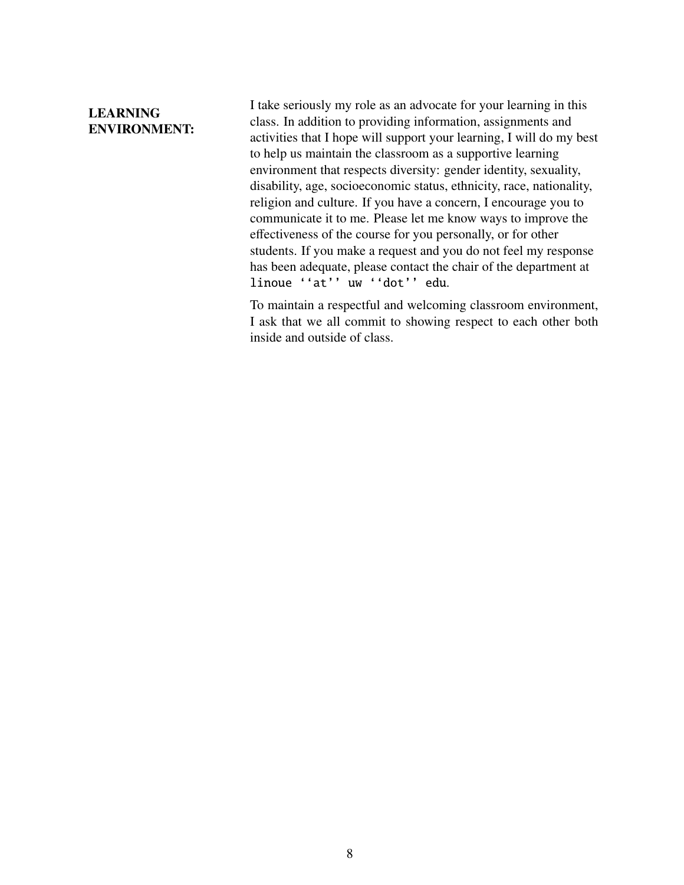# LEARNING ENVIRONMENT:

I take seriously my role as an advocate for your learning in this class. In addition to providing information, assignments and activities that I hope will support your learning, I will do my best to help us maintain the classroom as a supportive learning environment that respects diversity: gender identity, sexuality, disability, age, socioeconomic status, ethnicity, race, nationality, religion and culture. If you have a concern, I encourage you to communicate it to me. Please let me know ways to improve the effectiveness of the course for you personally, or for other students. If you make a request and you do not feel my response has been adequate, please contact the chair of the department at linoue ''at'' uw ''dot'' edu.

To maintain a respectful and welcoming classroom environment, I ask that we all commit to showing respect to each other both inside and outside of class.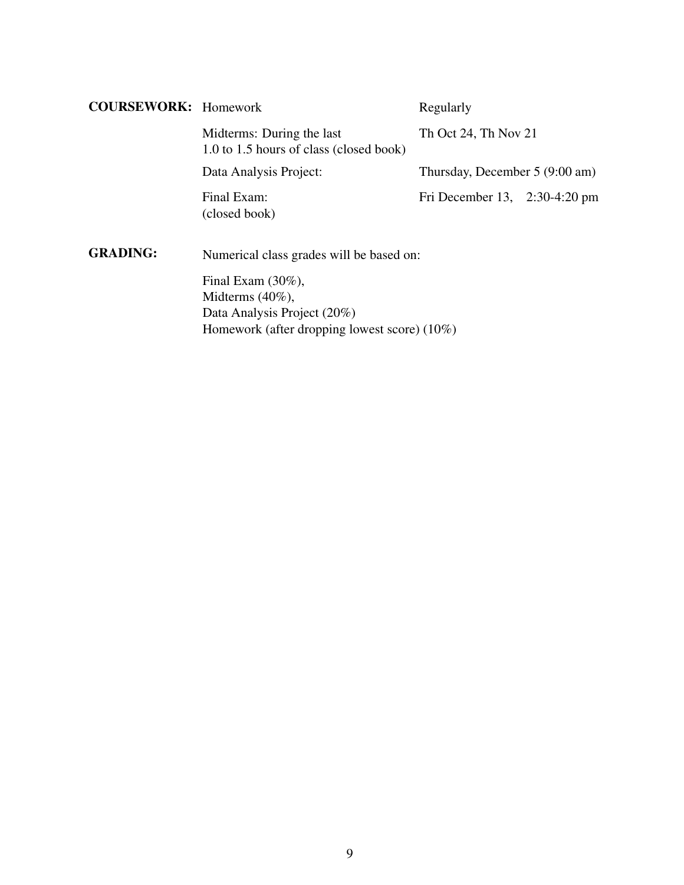| <b>COURSEWORK:</b> Homework |                                                                      | Regularly                       |  |
|-----------------------------|----------------------------------------------------------------------|---------------------------------|--|
|                             | Midterms: During the last<br>1.0 to 1.5 hours of class (closed book) | Th Oct 24, Th Nov 21            |  |
|                             | Data Analysis Project:                                               | Thursday, December 5 (9:00 am)  |  |
|                             | Final Exam:<br>(closed book)                                         | Fri December 13, $2:30-4:20$ pm |  |
| <b>GRADING:</b>             | Numerical class grades will be based on:                             |                                 |  |
|                             | Final Exam $(30\%)$ ,                                                |                                 |  |
|                             | Midterms $(40\%)$ ,                                                  |                                 |  |
|                             | Data Analysis Project (20%)                                          |                                 |  |
|                             | Homework (after dropping lowest score) $(10\%)$                      |                                 |  |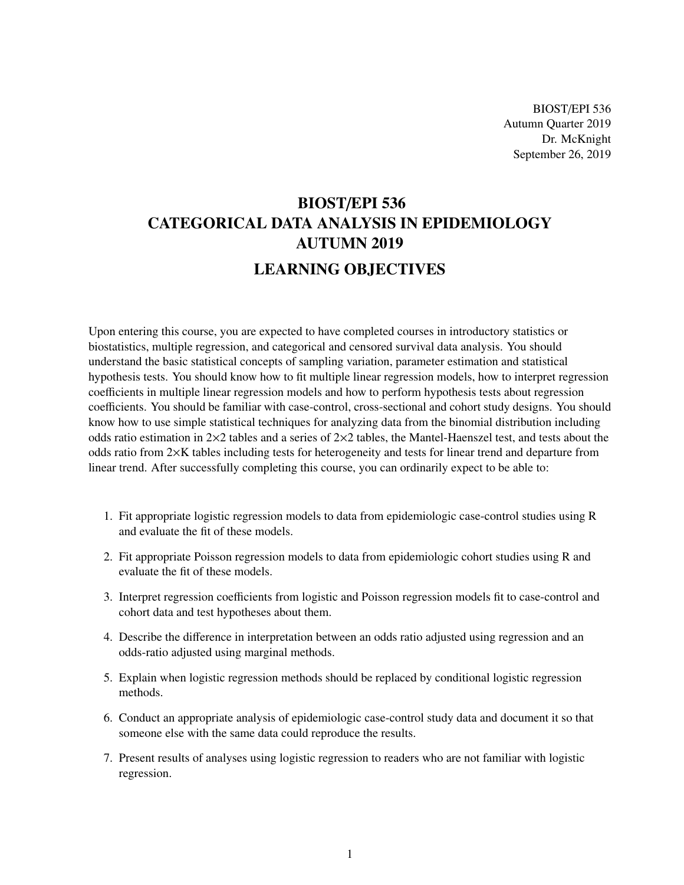BIOST/EPI 536 Autumn Quarter 2019 Dr. McKnight September 26, 2019

# BIOST/EPI 536 CATEGORICAL DATA ANALYSIS IN EPIDEMIOLOGY AUTUMN 2019 LEARNING OBJECTIVES

Upon entering this course, you are expected to have completed courses in introductory statistics or biostatistics, multiple regression, and categorical and censored survival data analysis. You should understand the basic statistical concepts of sampling variation, parameter estimation and statistical hypothesis tests. You should know how to fit multiple linear regression models, how to interpret regression coefficients in multiple linear regression models and how to perform hypothesis tests about regression coefficients. You should be familiar with case-control, cross-sectional and cohort study designs. You should know how to use simple statistical techniques for analyzing data from the binomial distribution including odds ratio estimation in  $2\times2$  tables and a series of  $2\times2$  tables, the Mantel-Haenszel test, and tests about the odds ratio from 2×K tables including tests for heterogeneity and tests for linear trend and departure from linear trend. After successfully completing this course, you can ordinarily expect to be able to:

- 1. Fit appropriate logistic regression models to data from epidemiologic case-control studies using R and evaluate the fit of these models.
- 2. Fit appropriate Poisson regression models to data from epidemiologic cohort studies using R and evaluate the fit of these models.
- 3. Interpret regression coefficients from logistic and Poisson regression models fit to case-control and cohort data and test hypotheses about them.
- 4. Describe the difference in interpretation between an odds ratio adjusted using regression and an odds-ratio adjusted using marginal methods.
- 5. Explain when logistic regression methods should be replaced by conditional logistic regression methods.
- 6. Conduct an appropriate analysis of epidemiologic case-control study data and document it so that someone else with the same data could reproduce the results.
- 7. Present results of analyses using logistic regression to readers who are not familiar with logistic regression.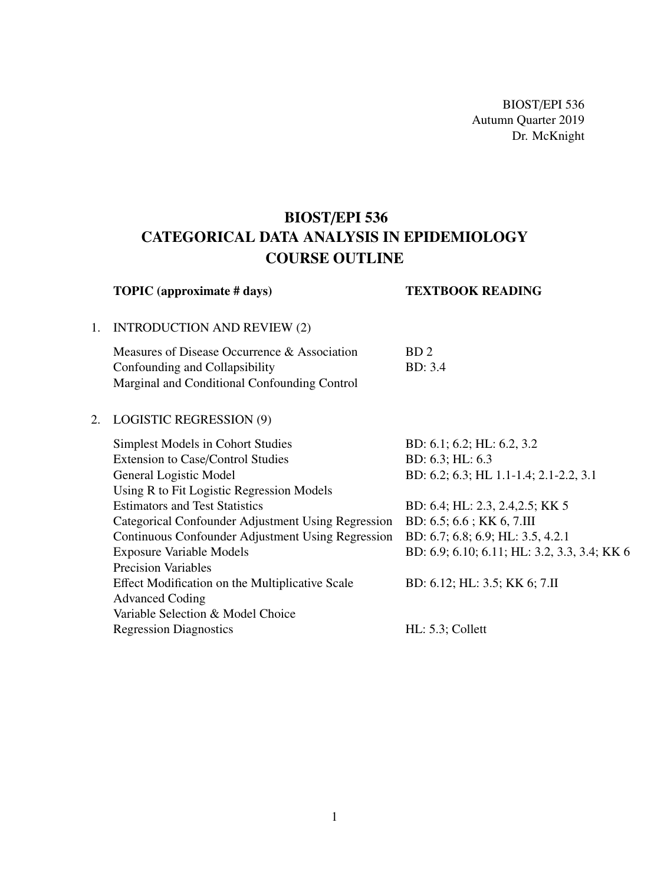BIOST/EPI 536 Autumn Quarter 2019 Dr. McKnight

# BIOST/EPI 536 CATEGORICAL DATA ANALYSIS IN EPIDEMIOLOGY COURSE OUTLINE

|    | <b>TOPIC</b> (approximate # days)                                                                                              | <b>TEXTBOOK READING</b>                      |
|----|--------------------------------------------------------------------------------------------------------------------------------|----------------------------------------------|
| 1. | <b>INTRODUCTION AND REVIEW (2)</b>                                                                                             |                                              |
|    | Measures of Disease Occurrence & Association<br>Confounding and Collapsibility<br>Marginal and Conditional Confounding Control | BD <sub>2</sub><br><b>BD</b> : 3.4           |
| 2. | <b>LOGISTIC REGRESSION (9)</b>                                                                                                 |                                              |
|    | Simplest Models in Cohort Studies                                                                                              | BD: $6.1$ ; $6.2$ ; HL: $6.2$ , $3.2$        |
|    | <b>Extension to Case/Control Studies</b>                                                                                       | BD: $6.3$ ; HL: $6.3$                        |
|    | General Logistic Model                                                                                                         | BD: 6.2; 6.3; HL 1.1-1.4; 2.1-2.2, 3.1       |
|    | Using R to Fit Logistic Regression Models                                                                                      |                                              |
|    | <b>Estimators and Test Statistics</b>                                                                                          | BD: 6.4; HL: 2.3, 2.4, 2.5; KK 5             |
|    | Categorical Confounder Adjustment Using Regression                                                                             | BD: 6.5; 6.6; KK 6, 7.III                    |
|    | Continuous Confounder Adjustment Using Regression                                                                              | BD: 6.7; 6.8; 6.9; HL: 3.5, 4.2.1            |
|    | <b>Exposure Variable Models</b>                                                                                                | BD: 6.9; 6.10; 6.11; HL: 3.2, 3.3, 3.4; KK 6 |
|    | <b>Precision Variables</b>                                                                                                     |                                              |
|    | Effect Modification on the Multiplicative Scale                                                                                | BD: 6.12; HL: 3.5; KK 6; 7.II                |
|    | <b>Advanced Coding</b>                                                                                                         |                                              |
|    | Variable Selection & Model Choice                                                                                              |                                              |
|    | <b>Regression Diagnostics</b>                                                                                                  | $HL: 5.3$ ; Collett                          |
|    |                                                                                                                                |                                              |